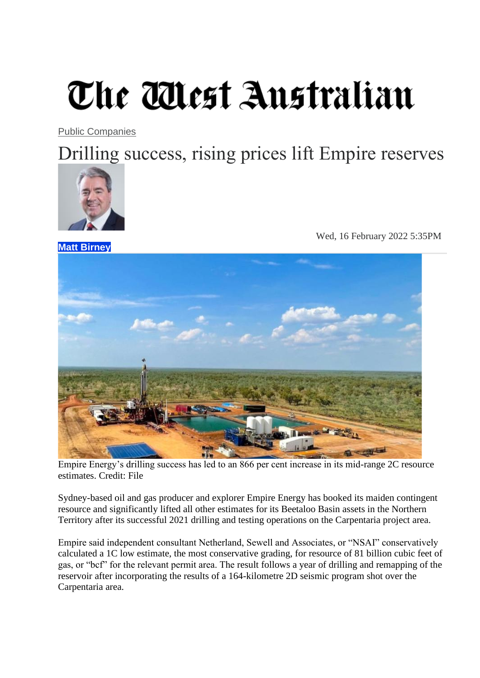## The Mest Australian

[Public Companies](https://thewest.com.au/business/public-companies)

Drilling success, rising prices lift Empire reserves



**Matt [Birney](mailto:matt.birney@wanews.com.au?subject=Website%20Enquiry%20for%20Matt%20Birney&body=Dear%20Matt%20Birney%2C%0A%0AIn%20reference%20to%3A%0ADrilling%20success%2C%20rising%20prices%20lift%20Empire%20reserves%0Ahttps%3A%2F%2Fthewest.com.au%2Fbusiness%2Fpublic-companies%2Fdrilling-success-rising-prices-lift-empire-reserves-c-5720189%0A%0APlease%20type%20your%20message%20here...)**

Wed, 16 February 2022 5:35PM



Empire Energy's drilling success has led to an 866 per cent increase in its mid-range 2C resource estimates. Credit: File

Sydney-based oil and gas producer and explorer Empire Energy has booked its maiden contingent resource and significantly lifted all other estimates for its Beetaloo Basin assets in the Northern Territory after its successful 2021 drilling and testing operations on the Carpentaria project area.

Empire said independent consultant Netherland, Sewell and Associates, or "NSAI" conservatively calculated a 1C low estimate, the most conservative grading, for resource of 81 billion cubic feet of gas, or "bcf" for the relevant permit area. The result follows a year of drilling and remapping of the reservoir after incorporating the results of a 164-kilometre 2D seismic program shot over the Carpentaria area.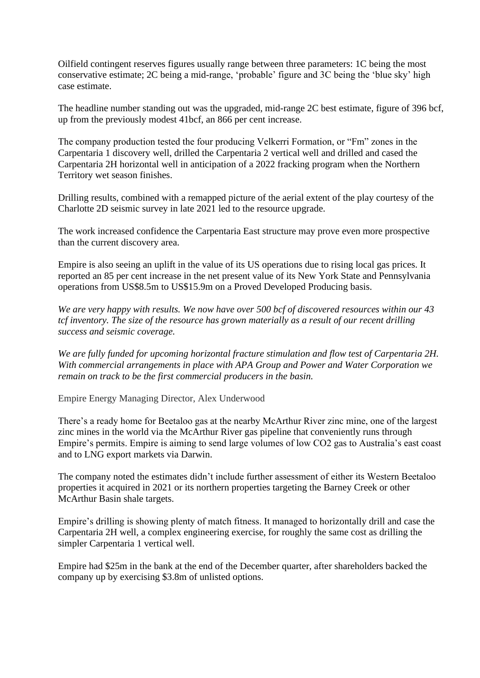Oilfield contingent reserves figures usually range between three parameters: 1C being the most conservative estimate; 2C being a mid-range, 'probable' figure and 3C being the 'blue sky' high case estimate.

The headline number standing out was the upgraded, mid-range 2C best estimate, figure of 396 bcf, up from the previously modest 41bcf, an 866 per cent increase.

The company production tested the four producing Velkerri Formation, or "Fm" zones in the Carpentaria 1 discovery well, drilled the Carpentaria 2 vertical well and drilled and cased the Carpentaria 2H horizontal well in anticipation of a 2022 fracking program when the Northern Territory wet season finishes.

Drilling results, combined with a remapped picture of the aerial extent of the play courtesy of the Charlotte 2D seismic survey in late 2021 led to the resource upgrade.

The work increased confidence the Carpentaria East structure may prove even more prospective than the current discovery area.

Empire is also seeing an uplift in the value of its US operations due to rising local gas prices. It reported an 85 per cent increase in the net present value of its New York State and Pennsylvania operations from US\$8.5m to US\$15.9m on a Proved Developed Producing basis.

*We are very happy with results. We now have over 500 bcf of discovered resources within our 43 tcf inventory. The size of the resource has grown materially as a result of our recent drilling success and seismic coverage.*

*We are fully funded for upcoming horizontal fracture stimulation and flow test of Carpentaria 2H. With commercial arrangements in place with APA Group and Power and Water Corporation we remain on track to be the first commercial producers in the basin.*

Empire Energy Managing Director, Alex Underwood

There's a ready home for Beetaloo gas at the nearby McArthur River zinc mine, one of the largest zinc mines in the world via the McArthur River gas pipeline that conveniently runs through Empire's permits. Empire is aiming to send large volumes of low CO2 gas to Australia's east coast and to LNG export markets via Darwin.

The company noted the estimates didn't include further assessment of either its Western Beetaloo properties it acquired in 2021 or its northern properties targeting the Barney Creek or other McArthur Basin shale targets.

Empire's drilling is showing plenty of match fitness. It managed to horizontally drill and case the Carpentaria 2H well, a complex engineering exercise, for roughly the same cost as drilling the simpler Carpentaria 1 vertical well.

Empire had \$25m in the bank at the end of the December quarter, after shareholders backed the company up by exercising \$3.8m of unlisted options.